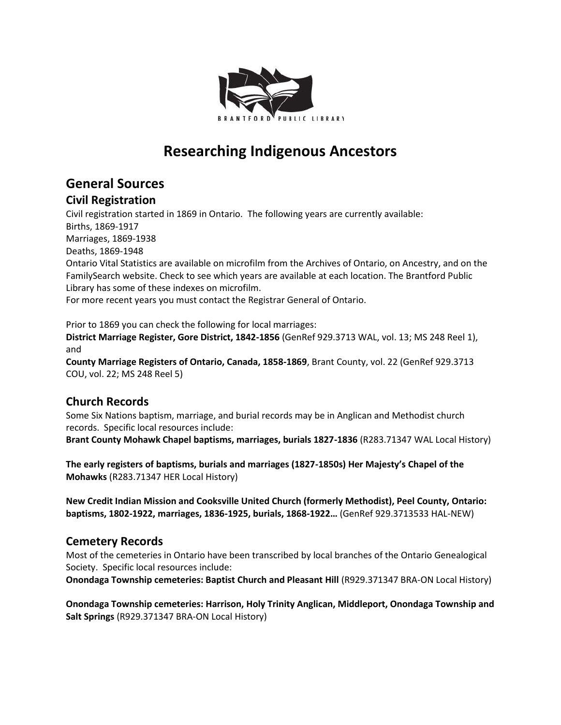

# **Researching Indigenous Ancestors**

# **General Sources**

### **Civil Registration**

Civil registration started in 1869 in Ontario. The following years are currently available: Births, 1869-1917 Marriages, 1869-1938 Deaths, 1869-1948 Ontario Vital Statistics are available on microfilm from the Archives of Ontario, on Ancestry, and on the FamilySearch website. Check to see which years are available at each location. The Brantford Public Library has some of these indexes on microfilm. For more recent years you must contact the Registrar General of Ontario.

Prior to 1869 you can check the following for local marriages: **District Marriage Register, Gore District, 1842-1856** (GenRef 929.3713 WAL, vol. 13; MS 248 Reel 1), and

**County Marriage Registers of Ontario, Canada, 1858-1869**, Brant County, vol. 22 (GenRef 929.3713 COU, vol. 22; MS 248 Reel 5)

# **Church Records**

Some Six Nations baptism, marriage, and burial records may be in Anglican and Methodist church records. Specific local resources include:

**Brant County Mohawk Chapel baptisms, marriages, burials 1827-1836** (R283.71347 WAL Local History)

**The early registers of baptisms, burials and marriages (1827-1850s) Her Majesty's Chapel of the Mohawks** (R283.71347 HER Local History)

**New Credit Indian Mission and Cooksville United Church (formerly Methodist), Peel County, Ontario: baptisms, 1802-1922, marriages, 1836-1925, burials, 1868-1922…** (GenRef 929.3713533 HAL-NEW)

## **Cemetery Records**

Most of the cemeteries in Ontario have been transcribed by local branches of the Ontario Genealogical Society. Specific local resources include:

**Onondaga Township cemeteries: Baptist Church and Pleasant Hill** (R929.371347 BRA-ON Local History)

**Onondaga Township cemeteries: Harrison, Holy Trinity Anglican, Middleport, Onondaga Township and Salt Springs** (R929.371347 BRA-ON Local History)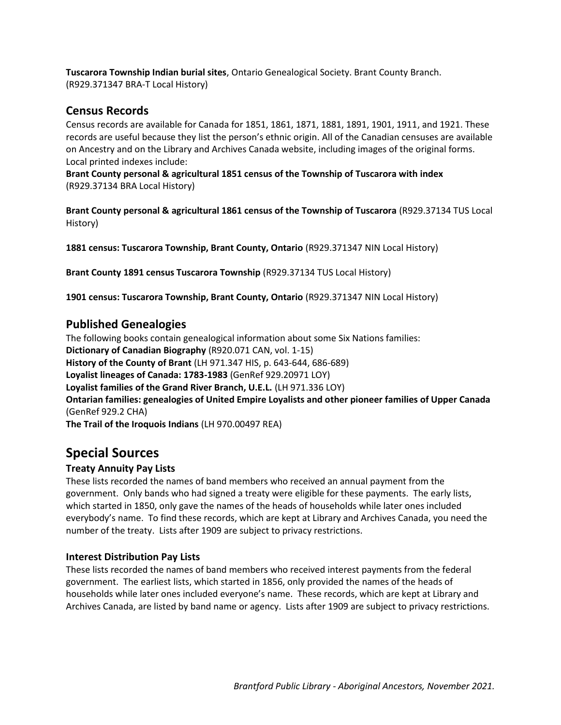**Tuscarora Township Indian burial sites**, Ontario Genealogical Society. Brant County Branch. (R929.371347 BRA-T Local History)

### **Census Records**

Census records are available for Canada for 1851, 1861, 1871, 1881, 1891, 1901, 1911, and 1921. These records are useful because they list the person's ethnic origin. All of the Canadian censuses are available on Ancestry and on the Library and Archives Canada website, including images of the original forms. Local printed indexes include:

**Brant County personal & agricultural 1851 census of the Township of Tuscarora with index** (R929.37134 BRA Local History)

**Brant County personal & agricultural 1861 census of the Township of Tuscarora** (R929.37134 TUS Local History)

**1881 census: Tuscarora Township, Brant County, Ontario** (R929.371347 NIN Local History)

**Brant County 1891 census Tuscarora Township** (R929.37134 TUS Local History)

**1901 census: Tuscarora Township, Brant County, Ontario** (R929.371347 NIN Local History)

### **Published Genealogies**

The following books contain genealogical information about some Six Nations families: **Dictionary of Canadian Biography** (R920.071 CAN, vol. 1-15) **History of the County of Brant** (LH 971.347 HIS, p. 643-644, 686-689) **Loyalist lineages of Canada: 1783-1983** (GenRef 929.20971 LOY) **Loyalist families of the Grand River Branch, U.E.L.** (LH 971.336 LOY) **Ontarian families: genealogies of United Empire Loyalists and other pioneer families of Upper Canada** (GenRef 929.2 CHA) **The Trail of the Iroquois Indians** (LH 970.00497 REA)

# **Special Sources**

### **Treaty Annuity Pay Lists**

These lists recorded the names of band members who received an annual payment from the government. Only bands who had signed a treaty were eligible for these payments. The early lists, which started in 1850, only gave the names of the heads of households while later ones included everybody's name. To find these records, which are kept at Library and Archives Canada, you need the number of the treaty. Lists after 1909 are subject to privacy restrictions.

#### **Interest Distribution Pay Lists**

These lists recorded the names of band members who received interest payments from the federal government. The earliest lists, which started in 1856, only provided the names of the heads of households while later ones included everyone's name. These records, which are kept at Library and Archives Canada, are listed by band name or agency. Lists after 1909 are subject to privacy restrictions.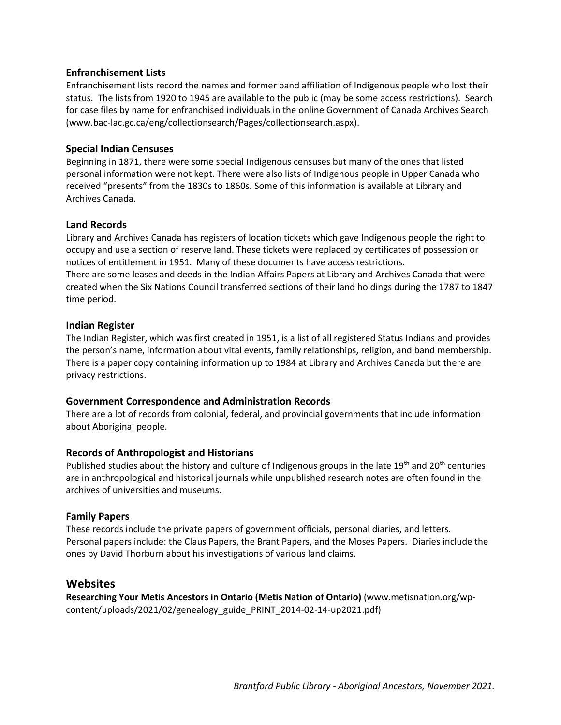#### **Enfranchisement Lists**

Enfranchisement lists record the names and former band affiliation of Indigenous people who lost their status. The lists from 1920 to 1945 are available to the public (may be some access restrictions). Search for case files by name for enfranchised individuals in the online Government of Canada Archives Search (www.bac-lac.gc.ca/eng/collectionsearch/Pages/collectionsearch.aspx).

#### **Special Indian Censuses**

Beginning in 1871, there were some special Indigenous censuses but many of the ones that listed personal information were not kept. There were also lists of Indigenous people in Upper Canada who received "presents" from the 1830s to 1860s. Some of this information is available at Library and Archives Canada.

#### **Land Records**

Library and Archives Canada has registers of location tickets which gave Indigenous people the right to occupy and use a section of reserve land. These tickets were replaced by certificates of possession or notices of entitlement in 1951. Many of these documents have access restrictions. There are some leases and deeds in the Indian Affairs Papers at Library and Archives Canada that were

created when the Six Nations Council transferred sections of their land holdings during the 1787 to 1847 time period.

#### **Indian Register**

The Indian Register, which was first created in 1951, is a list of all registered Status Indians and provides the person's name, information about vital events, family relationships, religion, and band membership. There is a paper copy containing information up to 1984 at Library and Archives Canada but there are privacy restrictions.

#### **Government Correspondence and Administration Records**

There are a lot of records from colonial, federal, and provincial governments that include information about Aboriginal people.

#### **Records of Anthropologist and Historians**

Published studies about the history and culture of Indigenous groups in the late  $19<sup>th</sup>$  and  $20<sup>th</sup>$  centuries are in anthropological and historical journals while unpublished research notes are often found in the archives of universities and museums.

#### **Family Papers**

These records include the private papers of government officials, personal diaries, and letters. Personal papers include: the Claus Papers, the Brant Papers, and the Moses Papers. Diaries include the ones by David Thorburn about his investigations of various land claims.

#### **Websites**

**Researching Your Metis Ancestors in Ontario (Metis Nation of Ontario)** (www.metisnation.org/wpcontent/uploads/2021/02/genealogy\_guide\_PRINT\_2014-02-14-up2021.pdf)